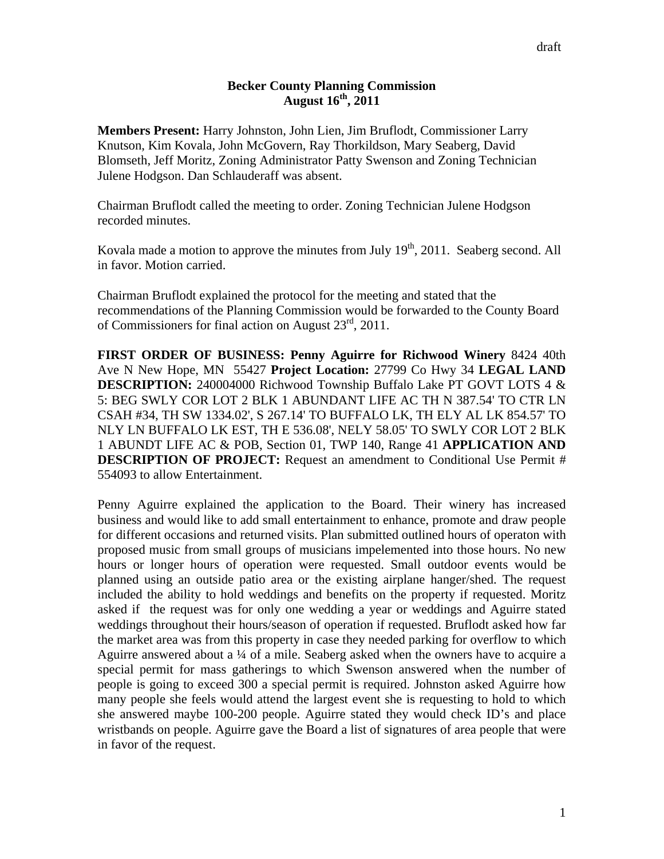## **Becker County Planning Commission August 16th, 2011**

**Members Present:** Harry Johnston, John Lien, Jim Bruflodt, Commissioner Larry Knutson, Kim Kovala, John McGovern, Ray Thorkildson, Mary Seaberg, David Blomseth, Jeff Moritz, Zoning Administrator Patty Swenson and Zoning Technician Julene Hodgson. Dan Schlauderaff was absent.

Chairman Bruflodt called the meeting to order. Zoning Technician Julene Hodgson recorded minutes.

Kovala made a motion to approve the minutes from July 19<sup>th</sup>, 2011. Seaberg second. All in favor. Motion carried.

Chairman Bruflodt explained the protocol for the meeting and stated that the recommendations of the Planning Commission would be forwarded to the County Board of Commissioners for final action on August  $23<sup>rd</sup>$ , 2011.

**FIRST ORDER OF BUSINESS: Penny Aguirre for Richwood Winery** 8424 40th Ave N New Hope, MN 55427 **Project Location:** 27799 Co Hwy 34 **LEGAL LAND DESCRIPTION:** 240004000 Richwood Township Buffalo Lake PT GOVT LOTS 4 & 5: BEG SWLY COR LOT 2 BLK 1 ABUNDANT LIFE AC TH N 387.54' TO CTR LN CSAH #34, TH SW 1334.02', S 267.14' TO BUFFALO LK, TH ELY AL LK 854.57' TO NLY LN BUFFALO LK EST, TH E 536.08', NELY 58.05' TO SWLY COR LOT 2 BLK 1 ABUNDT LIFE AC & POB, Section 01, TWP 140, Range 41 **APPLICATION AND DESCRIPTION OF PROJECT:** Request an amendment to Conditional Use Permit # 554093 to allow Entertainment.

Penny Aguirre explained the application to the Board. Their winery has increased business and would like to add small entertainment to enhance, promote and draw people for different occasions and returned visits. Plan submitted outlined hours of operaton with proposed music from small groups of musicians impelemented into those hours. No new hours or longer hours of operation were requested. Small outdoor events would be planned using an outside patio area or the existing airplane hanger/shed. The request included the ability to hold weddings and benefits on the property if requested. Moritz asked if the request was for only one wedding a year or weddings and Aguirre stated weddings throughout their hours/season of operation if requested. Bruflodt asked how far the market area was from this property in case they needed parking for overflow to which Aguirre answered about a  $\frac{1}{4}$  of a mile. Seaberg asked when the owners have to acquire a special permit for mass gatherings to which Swenson answered when the number of people is going to exceed 300 a special permit is required. Johnston asked Aguirre how many people she feels would attend the largest event she is requesting to hold to which she answered maybe 100-200 people. Aguirre stated they would check ID's and place wristbands on people. Aguirre gave the Board a list of signatures of area people that were in favor of the request.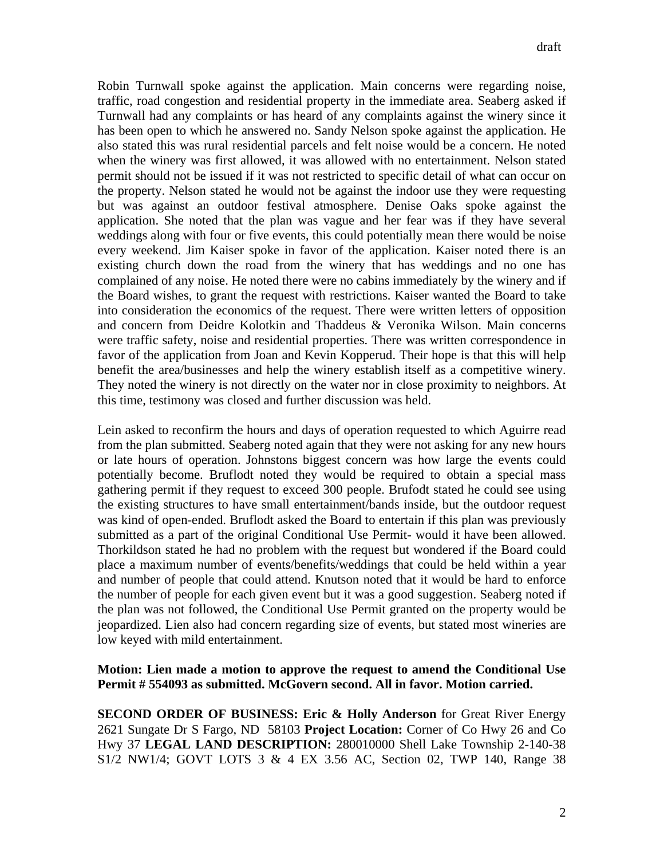Robin Turnwall spoke against the application. Main concerns were regarding noise, traffic, road congestion and residential property in the immediate area. Seaberg asked if Turnwall had any complaints or has heard of any complaints against the winery since it has been open to which he answered no. Sandy Nelson spoke against the application. He also stated this was rural residential parcels and felt noise would be a concern. He noted when the winery was first allowed, it was allowed with no entertainment. Nelson stated permit should not be issued if it was not restricted to specific detail of what can occur on the property. Nelson stated he would not be against the indoor use they were requesting but was against an outdoor festival atmosphere. Denise Oaks spoke against the application. She noted that the plan was vague and her fear was if they have several weddings along with four or five events, this could potentially mean there would be noise every weekend. Jim Kaiser spoke in favor of the application. Kaiser noted there is an existing church down the road from the winery that has weddings and no one has complained of any noise. He noted there were no cabins immediately by the winery and if the Board wishes, to grant the request with restrictions. Kaiser wanted the Board to take into consideration the economics of the request. There were written letters of opposition and concern from Deidre Kolotkin and Thaddeus & Veronika Wilson. Main concerns were traffic safety, noise and residential properties. There was written correspondence in favor of the application from Joan and Kevin Kopperud. Their hope is that this will help benefit the area/businesses and help the winery establish itself as a competitive winery. They noted the winery is not directly on the water nor in close proximity to neighbors. At this time, testimony was closed and further discussion was held.

Lein asked to reconfirm the hours and days of operation requested to which Aguirre read from the plan submitted. Seaberg noted again that they were not asking for any new hours or late hours of operation. Johnstons biggest concern was how large the events could potentially become. Bruflodt noted they would be required to obtain a special mass gathering permit if they request to exceed 300 people. Brufodt stated he could see using the existing structures to have small entertainment/bands inside, but the outdoor request was kind of open-ended. Bruflodt asked the Board to entertain if this plan was previously submitted as a part of the original Conditional Use Permit- would it have been allowed. Thorkildson stated he had no problem with the request but wondered if the Board could place a maximum number of events/benefits/weddings that could be held within a year and number of people that could attend. Knutson noted that it would be hard to enforce the number of people for each given event but it was a good suggestion. Seaberg noted if the plan was not followed, the Conditional Use Permit granted on the property would be jeopardized. Lien also had concern regarding size of events, but stated most wineries are low keyed with mild entertainment.

## **Motion: Lien made a motion to approve the request to amend the Conditional Use Permit # 554093 as submitted. McGovern second. All in favor. Motion carried.**

**SECOND ORDER OF BUSINESS: Eric & Holly Anderson** for Great River Energy 2621 Sungate Dr S Fargo, ND 58103 **Project Location:** Corner of Co Hwy 26 and Co Hwy 37 **LEGAL LAND DESCRIPTION:** 280010000 Shell Lake Township 2-140-38 S1/2 NW1/4; GOVT LOTS 3 & 4 EX 3.56 AC, Section 02, TWP 140, Range 38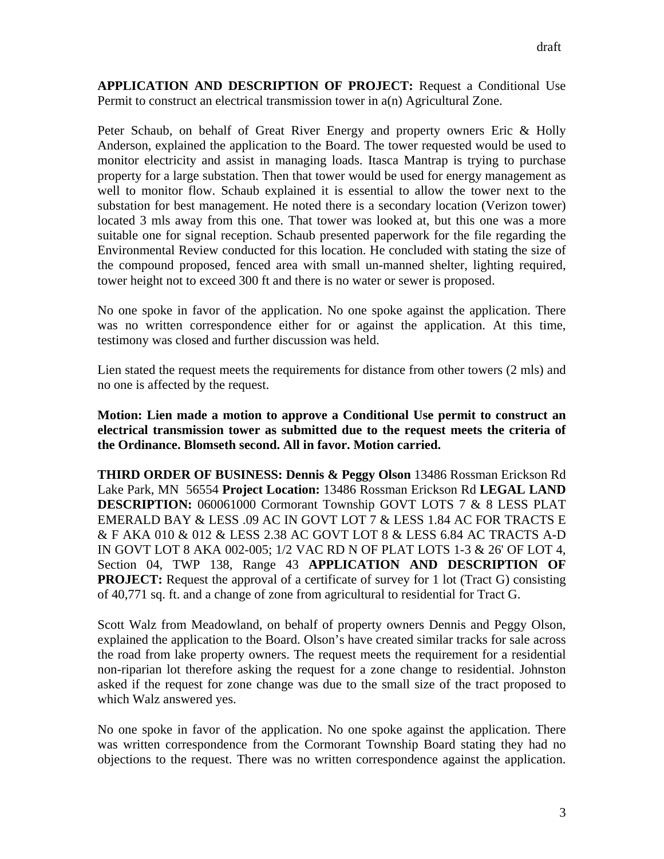**APPLICATION AND DESCRIPTION OF PROJECT:** Request a Conditional Use Permit to construct an electrical transmission tower in a(n) Agricultural Zone.

Peter Schaub, on behalf of Great River Energy and property owners Eric & Holly Anderson, explained the application to the Board. The tower requested would be used to monitor electricity and assist in managing loads. Itasca Mantrap is trying to purchase property for a large substation. Then that tower would be used for energy management as well to monitor flow. Schaub explained it is essential to allow the tower next to the substation for best management. He noted there is a secondary location (Verizon tower) located 3 mls away from this one. That tower was looked at, but this one was a more suitable one for signal reception. Schaub presented paperwork for the file regarding the Environmental Review conducted for this location. He concluded with stating the size of the compound proposed, fenced area with small un-manned shelter, lighting required, tower height not to exceed 300 ft and there is no water or sewer is proposed.

No one spoke in favor of the application. No one spoke against the application. There was no written correspondence either for or against the application. At this time, testimony was closed and further discussion was held.

Lien stated the request meets the requirements for distance from other towers (2 mls) and no one is affected by the request.

**Motion: Lien made a motion to approve a Conditional Use permit to construct an electrical transmission tower as submitted due to the request meets the criteria of the Ordinance. Blomseth second. All in favor. Motion carried.** 

**THIRD ORDER OF BUSINESS: Dennis & Peggy Olson** 13486 Rossman Erickson Rd Lake Park, MN 56554 **Project Location:** 13486 Rossman Erickson Rd **LEGAL LAND DESCRIPTION:** 060061000 Cormorant Township GOVT LOTS 7 & 8 LESS PLAT EMERALD BAY & LESS .09 AC IN GOVT LOT 7 & LESS 1.84 AC FOR TRACTS E & F AKA 010 & 012 & LESS 2.38 AC GOVT LOT 8 & LESS 6.84 AC TRACTS A-D IN GOVT LOT 8 AKA 002-005; 1/2 VAC RD N OF PLAT LOTS 1-3 & 26' OF LOT 4, Section 04, TWP 138, Range 43 **APPLICATION AND DESCRIPTION OF PROJECT:** Request the approval of a certificate of survey for 1 lot (Tract G) consisting of 40,771 sq. ft. and a change of zone from agricultural to residential for Tract G.

Scott Walz from Meadowland, on behalf of property owners Dennis and Peggy Olson, explained the application to the Board. Olson's have created similar tracks for sale across the road from lake property owners. The request meets the requirement for a residential non-riparian lot therefore asking the request for a zone change to residential. Johnston asked if the request for zone change was due to the small size of the tract proposed to which Walz answered yes.

No one spoke in favor of the application. No one spoke against the application. There was written correspondence from the Cormorant Township Board stating they had no objections to the request. There was no written correspondence against the application.